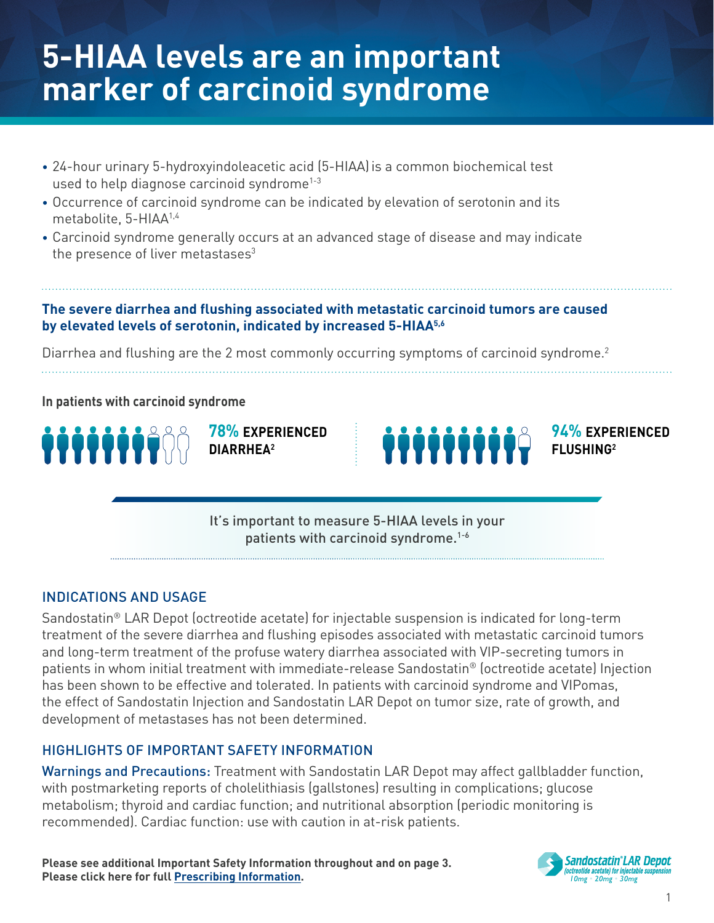## **5-HIAA levels are an important marker of carcinoid syndrome**

- 24-hour urinary 5-hydroxyindoleacetic acid (5-HIAA)is a common biochemical test used to help diagnose carcinoid syndrome<sup>1-3</sup>
- Occurrence of carcinoid syndrome can be indicated by elevation of serotonin and its metabolite, 5-HIAA1,4
- Carcinoid syndrome generally occurs at an advanced stage of disease and may indicate the presence of liver metastases $3$

### **The severe diarrhea and flushing associated with metastatic carcinoid tumors are caused by elevated levels of serotonin, indicated by increased 5-HIAA5,6**

Diarrhea and flushing are the 2 most commonly occurring symptoms of carcinoid syndrome.<sup>2</sup>

**In patients with carcinoid syndrome**



**78% EXPERIENCED DIARRHEA2**



It's important to measure 5-HIAA levels in your patients with carcinoid syndrome.<sup>1-6</sup>

## INDICATIONS AND USAGE

Sandostatin® LAR Depot (octreotide acetate) for injectable suspension is indicated for long-term treatment of the severe diarrhea and flushing episodes associated with metastatic carcinoid tumors and long-term treatment of the profuse watery diarrhea associated with VIP-secreting tumors in patients in whom initial treatment with immediate-release Sandostatin® (octreotide acetate) Injection has been shown to be effective and tolerated. In patients with carcinoid syndrome and VIPomas, the effect of Sandostatin Injection and Sandostatin LAR Depot on tumor size, rate of growth, and development of metastases has not been determined.

## HIGHLIGHTS OF IMPORTANT SAFETY INFORMATION

Warnings and Precautions: Treatment with Sandostatin LAR Depot may affect gallbladder function, with postmarketing reports of cholelithiasis (gallstones) resulting in complications; glucose metabolism; thyroid and cardiac function; and nutritional absorption (periodic monitoring is recommended). Cardiac function: use with caution in at-risk patients.

**Please see additional Important Safety Information throughout and o[n page 3.](#page-2-0) Please click here for ful[l Prescribing Information.](https://www.novartis.us/sites/www.novartis.us/files/sandostatin_lar.pdf)**

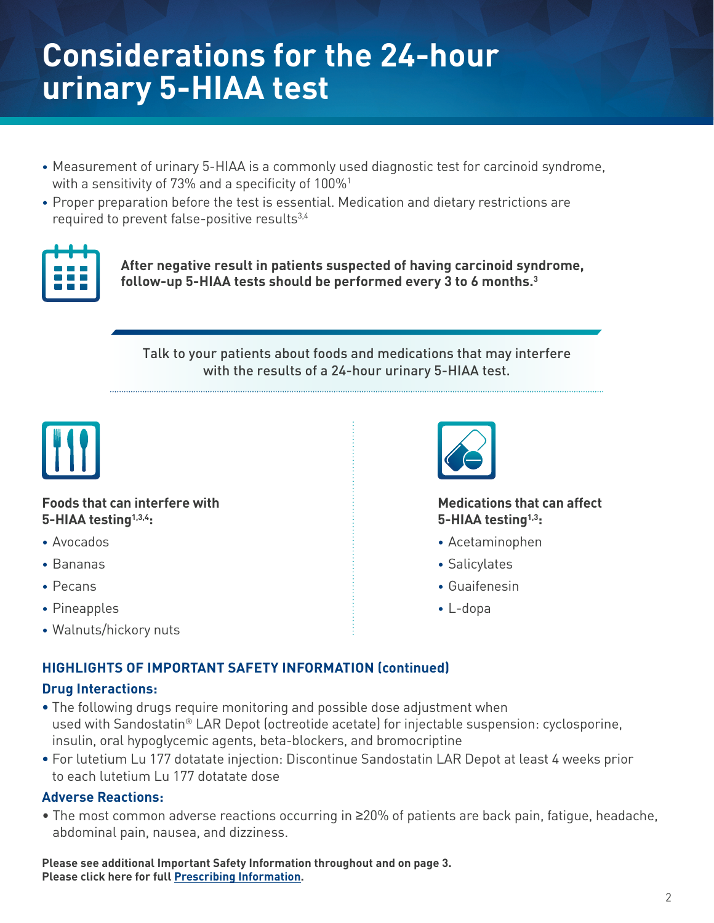## **Considerations for the 24-hour urinary 5-HIAA test**

- Measurement of urinary 5-HIAA is a commonly used diagnostic test for carcinoid syndrome, with a sensitivity of 73% and a specificity of 100%<sup>1</sup>
- Proper preparation before the test is essential. Medication and dietary restrictions are required to prevent false-positive results<sup>3,4</sup>



**After negative result in patients suspected of having carcinoid syndrome, follow-up 5-HIAA tests should be performed every 3 to 6 months.3**

Talk to your patients about foods and medications that may interfere with the results of a 24-hour urinary 5-HIAA test.



#### **Foods that can interfere with 5-HIAA testing1,3,4:**

- Avocados
- Bananas
- Pecans
- Pineapples
- Walnuts/hickory nuts



#### **Medications that can affect 5-HIAA testing1,3:**

- Acetaminophen
- Salicylates
- Guaifenesin
- L-dopa

## **HIGHLIGHTS OF IMPORTANT SAFETY INFORMATION (continued)**

#### **Drug Interactions:**

- The following drugs require monitoring and possible dose adjustment when used with Sandostatin® LAR Depot (octreotide acetate) for injectable suspension: cyclosporine, insulin, oral hypoglycemic agents, beta-blockers, and bromocriptine
- For lutetium Lu 177 dotatate injection: Discontinue Sandostatin LAR Depot at least 4 weeks prior to each lutetium Lu 177 dotatate dose

#### **Adverse Reactions:**

• The most common adverse reactions occurring in ≥20% of patients are back pain, fatigue, headache, abdominal pain, nausea, and dizziness.

**Please see additional Important Safety Information throughout and o[n page 3.](#page-2-0) Please click here for ful[l Prescribing Information.](https://www.novartis.us/sites/www.novartis.us/files/sandostatin_lar.pdf)**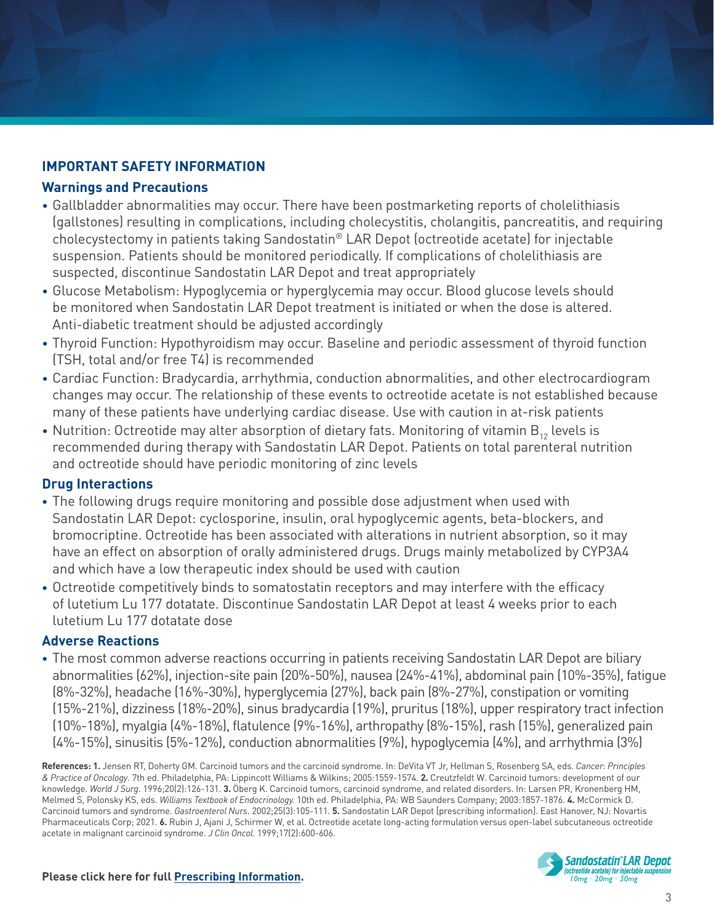## <span id="page-2-0"></span>**IMPORTANT SAFETY INFORMATION**

#### **Warnings and Precautions**

- Gallbladder abnormalities may occur. There have been postmarketing reports of cholelithiasis (gallstones) resulting in complications, including cholecystitis, cholangitis, pancreatitis, and requiring cholecystectomy in patients taking Sandostatin® LAR Depot (octreotide acetate) for injectable suspension. Patients should be monitored periodically. If complications of cholelithiasis are suspected, discontinue Sandostatin LAR Depot and treat appropriately
- Glucose Metabolism: Hypoglycemia or hyperglycemia may occur. Blood glucose levels should be monitored when Sandostatin LAR Depot treatment is initiated or when the dose is altered. Anti-diabetic treatment should be adjusted accordingly
- Thyroid Function: Hypothyroidism may occur. Baseline and periodic assessment of thyroid function (TSH, total and/or free T4) is recommended
- Cardiac Function: Bradycardia, arrhythmia, conduction abnormalities, and other electrocardiogram changes may occur. The relationship of these events to octreotide acetate is not established because many of these patients have underlying cardiac disease. Use with caution in at-risk patients
- Nutrition: Octreotide may alter absorption of dietary fats. Monitoring of vitamin  $B_{12}$  levels is recommended during therapy with Sandostatin LAR Depot. Patients on total parenteral nutrition and octreotide should have periodic monitoring of zinc levels

## **Drug Interactions**

- **•** The following drugs require monitoring and possible dose adjustment when used with Sandostatin LAR Depot: cyclosporine, insulin, oral hypoglycemic agents, beta-blockers, and bromocriptine. Octreotide has been associated with alterations in nutrient absorption, so it may have an effect on absorption of orally administered drugs. Drugs mainly metabolized by CYP3A4 and which have a low therapeutic index should be used with caution
- **•** Octreotide competitively binds to somatostatin receptors and may interfere with the efficacy of lutetium Lu 177 dotatate. Discontinue Sandostatin LAR Depot at least 4 weeks prior to each lutetium Lu 177 dotatate dose

## **Adverse Reactions**

**•** The most common adverse reactions occurring in patients receiving Sandostatin LAR Depot are biliary abnormalities (62%), injection-site pain (20%-50%), nausea (24%-41%), abdominal pain (10%-35%), fatigue (8%-32%), headache (16%-30%), hyperglycemia (27%), back pain (8%-27%), constipation or vomiting (15%-21%), dizziness (18%-20%), sinus bradycardia (19%), pruritus (18%), upper respiratory tract infection (10%-18%), myalgia (4%-18%), flatulence (9%-16%), arthropathy (8%-15%), rash (15%), generalized pain (4%-15%), sinusitis (5%-12%), conduction abnormalities (9%), hypoglycemia (4%), and arrhythmia (3%)

**References: 1.** Jensen RT, Doherty GM. Carcinoid tumors and the carcinoid syndrome. In: DeVita VT Jr, Hellman S, Rosenberg SA, eds. *Cancer: Principles & Practice of Oncology*. 7th ed. Philadelphia, PA: Lippincott Williams & Wilkins; 2005:1559-1574. **2.** Creutzfeldt W. Carcinoid tumors: development of our knowledge. *World J Surg*. 1996;20(2):126-131. **3.** Öberg K. Carcinoid tumors, carcinoid syndrome, and related disorders. In: Larsen PR, Kronenberg HM, Melmed S, Polonsky KS, eds. *Williams Textbook of Endocrinology.* 10th ed. Philadelphia, PA: WB Saunders Company; 2003:1857-1876. **4.** McCormick D. Carcinoid tumors and syndrome. *Gastroenterol Nurs*. 2002;25(3):105-111. **5.** Sandostatin LAR Depot [prescribing information]. East Hanover, NJ: Novartis Pharmaceuticals Corp; 2021. **6.** Rubin J, Ajani J, Schirmer W, et al. Octreotide acetate long-acting formulation versus open-label subcutaneous octreotide acetate in malignant carcinoid syndrome. *J Clin Oncol*. 1999;17(2):600-606.